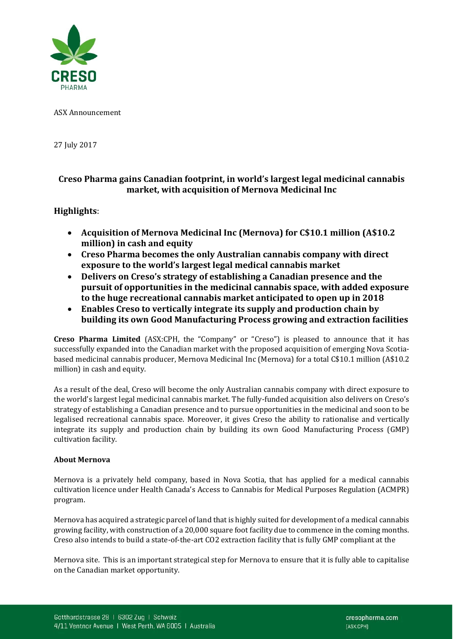

ASX Announcement

27 July 2017

# **Creso Pharma gains Canadian footprint, in world's largest legal medicinal cannabis market, with acquisition of Mernova Medicinal Inc**

# **Highlights**:

- **Acquisition of Mernova Medicinal Inc (Mernova) for C\$10.1 million (A\$10.2 million) in cash and equity**
- **Creso Pharma becomes the only Australian cannabis company with direct exposure to the world's largest legal medical cannabis market**
- **Delivers on Creso's strategy of establishing a Canadian presence and the pursuit of opportunities in the medicinal cannabis space, with added exposure to the huge recreational cannabis market anticipated to open up in 2018**
- **Enables Creso to vertically integrate its supply and production chain by building its own Good Manufacturing Process growing and extraction facilities**

**Creso Pharma Limited** (ASX:CPH, the "Company" or "Creso") is pleased to announce that it has successfully expanded into the Canadian market with the proposed acquisition of emerging Nova Scotiabased medicinal cannabis producer, Mernova Medicinal Inc (Mernova) for a total C\$10.1 million (A\$10.2 million) in cash and equity.

As a result of the deal, Creso will become the only Australian cannabis company with direct exposure to the world's largest legal medicinal cannabis market. The fully-funded acquisition also delivers on Creso's strategy of establishing a Canadian presence and to pursue opportunities in the medicinal and soon to be legalised recreational cannabis space. Moreover, it gives Creso the ability to rationalise and vertically integrate its supply and production chain by building its own Good Manufacturing Process (GMP) cultivation facility.

# **About Mernova**

Mernova is a privately held company, based in Nova Scotia, that has applied for a medical cannabis cultivation licence under Health Canada's Access to Cannabis for Medical Purposes Regulation (ACMPR) program.

Mernova has acquired a strategic parcel of land that is highly suited for development of a medical cannabis growing facility, with construction of a 20,000 square foot facility due to commence in the coming months. Creso also intends to build a state-of-the-art CO2 extraction facility that is fully GMP compliant at the

Mernova site. This is an important strategical step for Mernova to ensure that it is fully able to capitalise on the Canadian market opportunity.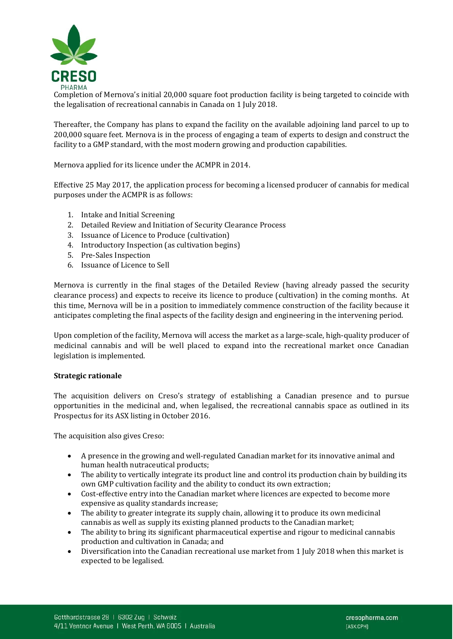

Completion of Mernova's initial 20,000 square foot production facility is being targeted to coincide with the legalisation of recreational cannabis in Canada on 1 July 2018.

Thereafter, the Company has plans to expand the facility on the available adjoining land parcel to up to 200,000 square feet. Mernova is in the process of engaging a team of experts to design and construct the facility to a GMP standard, with the most modern growing and production capabilities.

Mernova applied for its licence under the ACMPR in 2014.

Effective 25 May 2017, the application process for becoming a licensed producer of cannabis for medical purposes under the ACMPR is as follows:

- 1. Intake and Initial Screening
- 2. Detailed Review and Initiation of Security Clearance Process
- 3. Issuance of Licence to Produce (cultivation)
- 4. Introductory Inspection (as cultivation begins)
- 5. Pre-Sales Inspection
- 6. Issuance of Licence to Sell

Mernova is currently in the final stages of the Detailed Review (having already passed the security clearance process) and expects to receive its licence to produce (cultivation) in the coming months. At this time, Mernova will be in a position to immediately commence construction of the facility because it anticipates completing the final aspects of the facility design and engineering in the intervening period.

Upon completion of the facility, Mernova will access the market as a large-scale, high-quality producer of medicinal cannabis and will be well placed to expand into the recreational market once Canadian legislation is implemented.

#### **Strategic rationale**

The acquisition delivers on Creso's strategy of establishing a Canadian presence and to pursue opportunities in the medicinal and, when legalised, the recreational cannabis space as outlined in its Prospectus for its ASX listing in October 2016.

The acquisition also gives Creso:

- A presence in the growing and well-regulated Canadian market for its innovative animal and human health nutraceutical products;
- The ability to vertically integrate its product line and control its production chain by building its own GMP cultivation facility and the ability to conduct its own extraction;
- Cost-effective entry into the Canadian market where licences are expected to become more expensive as quality standards increase;
- The ability to greater integrate its supply chain, allowing it to produce its own medicinal cannabis as well as supply its existing planned products to the Canadian market;
- The ability to bring its significant pharmaceutical expertise and rigour to medicinal cannabis production and cultivation in Canada; and
- Diversification into the Canadian recreational use market from 1 July 2018 when this market is expected to be legalised.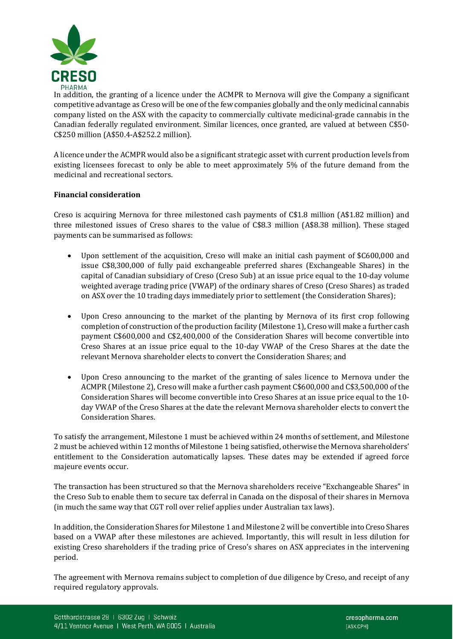

In addition, the granting of a licence under the ACMPR to Mernova will give the Company a significant competitive advantage as Creso will be one of the few companies globally and the only medicinal cannabis company listed on the ASX with the capacity to commercially cultivate medicinal-grade cannabis in the Canadian federally regulated environment. Similar licences, once granted, are valued at between C\$50- C\$250 million (A\$50.4-A\$252.2 million).

A licence under the ACMPR would also be a significant strategic asset with current production levels from existing licensees forecast to only be able to meet approximately 5% of the future demand from the medicinal and recreational sectors.

# **Financial consideration**

Creso is acquiring Mernova for three milestoned cash payments of C\$1.8 million (A\$1.82 million) and three milestoned issues of Creso shares to the value of C\$8.3 million (A\$8.38 million). These staged payments can be summarised as follows:

- Upon settlement of the acquisition, Creso will make an initial cash payment of \$C600,000 and issue C\$8,300,000 of fully paid exchangeable preferred shares (Exchangeable Shares) in the capital of Canadian subsidiary of Creso (Creso Sub) at an issue price equal to the 10-day volume weighted average trading price (VWAP) of the ordinary shares of Creso (Creso Shares) as traded on ASX over the 10 trading days immediately prior to settlement (the Consideration Shares);
- Upon Creso announcing to the market of the planting by Mernova of its first crop following completion of construction of the production facility (Milestone 1), Creso will make a further cash payment C\$600,000 and C\$2,400,000 of the Consideration Shares will become convertible into Creso Shares at an issue price equal to the 10-day VWAP of the Creso Shares at the date the relevant Mernova shareholder elects to convert the Consideration Shares; and
- Upon Creso announcing to the market of the granting of sales licence to Mernova under the ACMPR (Milestone 2), Creso will make a further cash payment C\$600,000 and C\$3,500,000 of the Consideration Shares will become convertible into Creso Shares at an issue price equal to the 10 day VWAP of the Creso Shares at the date the relevant Mernova shareholder elects to convert the Consideration Shares.

To satisfy the arrangement, Milestone 1 must be achieved within 24 months of settlement, and Milestone 2 must be achieved within 12 months of Milestone 1 being satisfied, otherwise the Mernova shareholders' entitlement to the Consideration automatically lapses. These dates may be extended if agreed force majeure events occur.

The transaction has been structured so that the Mernova shareholders receive "Exchangeable Shares" in the Creso Sub to enable them to secure tax deferral in Canada on the disposal of their shares in Mernova (in much the same way that CGT roll over relief applies under Australian tax laws).

In addition, the Consideration Shares for Milestone 1 and Milestone 2 will be convertible into Creso Shares based on a VWAP after these milestones are achieved. Importantly, this will result in less dilution for existing Creso shareholders if the trading price of Creso's shares on ASX appreciates in the intervening period.

The agreement with Mernova remains subject to completion of due diligence by Creso, and receipt of any required regulatory approvals.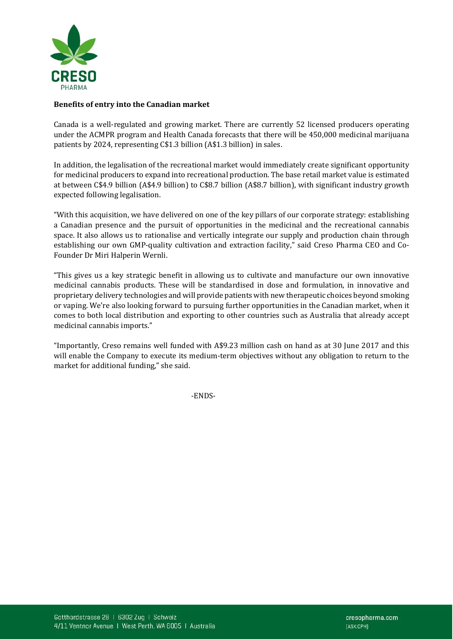

# **Benefits of entry into the Canadian market**

Canada is a well-regulated and growing market. There are currently 52 licensed producers operating under the ACMPR program and Health Canada forecasts that there will be 450,000 medicinal marijuana patients by 2024, representing C\$1.3 billion (A\$1.3 billion) in sales.

In addition, the legalisation of the recreational market would immediately create significant opportunity for medicinal producers to expand into recreational production. The base retail market value is estimated at between C\$4.9 billion (A\$4.9 billion) to C\$8.7 billion (A\$8.7 billion), with significant industry growth expected following legalisation.

"With this acquisition, we have delivered on one of the key pillars of our corporate strategy: establishing a Canadian presence and the pursuit of opportunities in the medicinal and the recreational cannabis space. It also allows us to rationalise and vertically integrate our supply and production chain through establishing our own GMP-quality cultivation and extraction facility," said Creso Pharma CEO and Co-Founder Dr Miri Halperin Wernli.

"This gives us a key strategic benefit in allowing us to cultivate and manufacture our own innovative medicinal cannabis products. These will be standardised in dose and formulation, in innovative and proprietary delivery technologies and will provide patients with new therapeutic choices beyond smoking or vaping. We're also looking forward to pursuing further opportunities in the Canadian market, when it comes to both local distribution and exporting to other countries such as Australia that already accept medicinal cannabis imports."

"Importantly, Creso remains well funded with A\$9.23 million cash on hand as at 30 June 2017 and this will enable the Company to execute its medium-term objectives without any obligation to return to the market for additional funding," she said.

-ENDS-